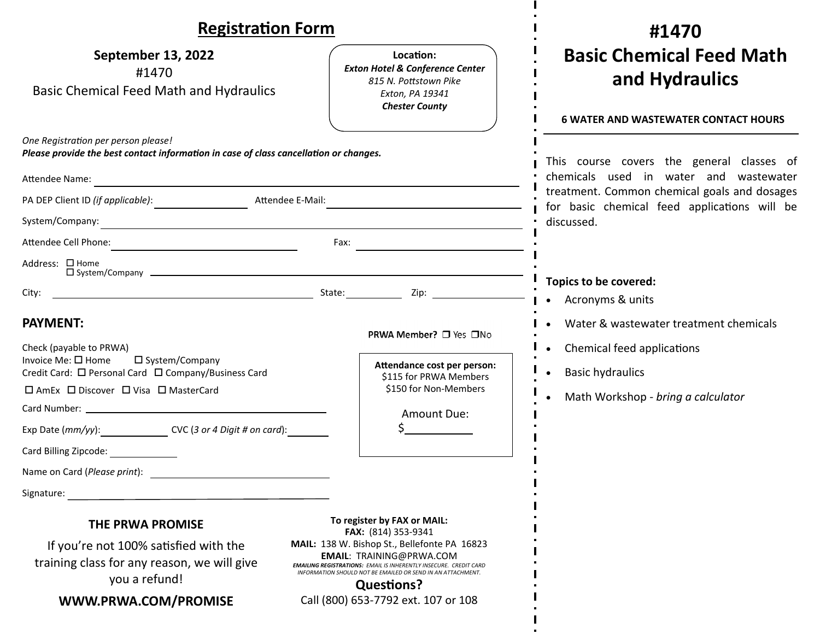| <b>Registration Form</b>                                                                                                                                                                                                                                                                                  |                                                                                                                                                                                                                                                                                                                                              | #1470                                                                                                                                                                                             |
|-----------------------------------------------------------------------------------------------------------------------------------------------------------------------------------------------------------------------------------------------------------------------------------------------------------|----------------------------------------------------------------------------------------------------------------------------------------------------------------------------------------------------------------------------------------------------------------------------------------------------------------------------------------------|---------------------------------------------------------------------------------------------------------------------------------------------------------------------------------------------------|
| <b>September 13, 2022</b><br>#1470<br><b>Basic Chemical Feed Math and Hydraulics</b>                                                                                                                                                                                                                      | Location:<br><b>Exton Hotel &amp; Conference Center</b><br>815 N. Pottstown Pike<br>Exton, PA 19341<br><b>Chester County</b>                                                                                                                                                                                                                 | <b>Basic Chemical Feed Math</b><br>and Hydraulics<br><b>6 WATER AND WASTEWATER CONTACT HOURS</b>                                                                                                  |
| One Registration per person please!<br>Please provide the best contact information in case of class cancellation or changes.<br>Attendee Name:<br>PA DEP Client ID (if applicable):<br>Attendee Cell Phone:                                                                                               | <u> 1989 - Johann Barn, mars eta bat erroman erroman erroman erroman erroman erroman erroman erroman erroman err</u><br>Attendee E-Mail:<br>Fax:                                                                                                                                                                                             | This course covers the general classes of<br>chemicals used in water and wastewater<br>treatment. Common chemical goals and dosages<br>for basic chemical feed applications will be<br>discussed. |
| Address: □ Home<br>City:                                                                                                                                                                                                                                                                                  | <u>in the contract of the contract of the contract of the contract of the contract of the contract of the contract of the contract of the contract of the contract of the contract of the contract of the contract of the contra</u>                                                                                                         | Topics to be covered:<br>• Acronyms & units                                                                                                                                                       |
| <b>PAYMENT:</b><br>Check (payable to PRWA)<br>Invoice Me: $\square$ Home<br>□ System/Company<br>Credit Card: □ Personal Card □ Company/Business Card<br>□ AmEx □ Discover □ Visa □ MasterCard<br>Exp Date (mm/yy): ____________________ CVC (3 or 4 Digit # on card): __________<br>Card Billing Zipcode: | PRWA Member? □ Yes □No<br>Attendance cost per person:<br>\$115 for PRWA Members<br>\$150 for Non-Members<br>Amount Due:                                                                                                                                                                                                                      | Water & wastewater treatment chemicals<br>Chemical feed applications<br><b>Basic hydraulics</b><br>Math Workshop - bring a calculator                                                             |
| Name on Card (Please print):<br>Signature:<br><b>THE PRWA PROMISE</b><br>If you're not 100% satisfied with the<br>training class for any reason, we will give<br>you a refund!<br>WWW.PRWA.COM/PROMISE                                                                                                    | To register by FAX or MAIL:<br>FAX: (814) 353-9341<br>MAIL: 138 W. Bishop St., Bellefonte PA 16823<br><b>EMAIL: TRAINING@PRWA.COM</b><br><b>EMAILING REGISTRATIONS: EMAIL IS INHERENTLY INSECURE. CREDIT CARD</b><br>INFORMATION SHOULD NOT BE EMAILED OR SEND IN AN ATTACHMENT.<br><b>Questions?</b><br>Call (800) 653-7792 ext. 107 or 108 |                                                                                                                                                                                                   |

ш